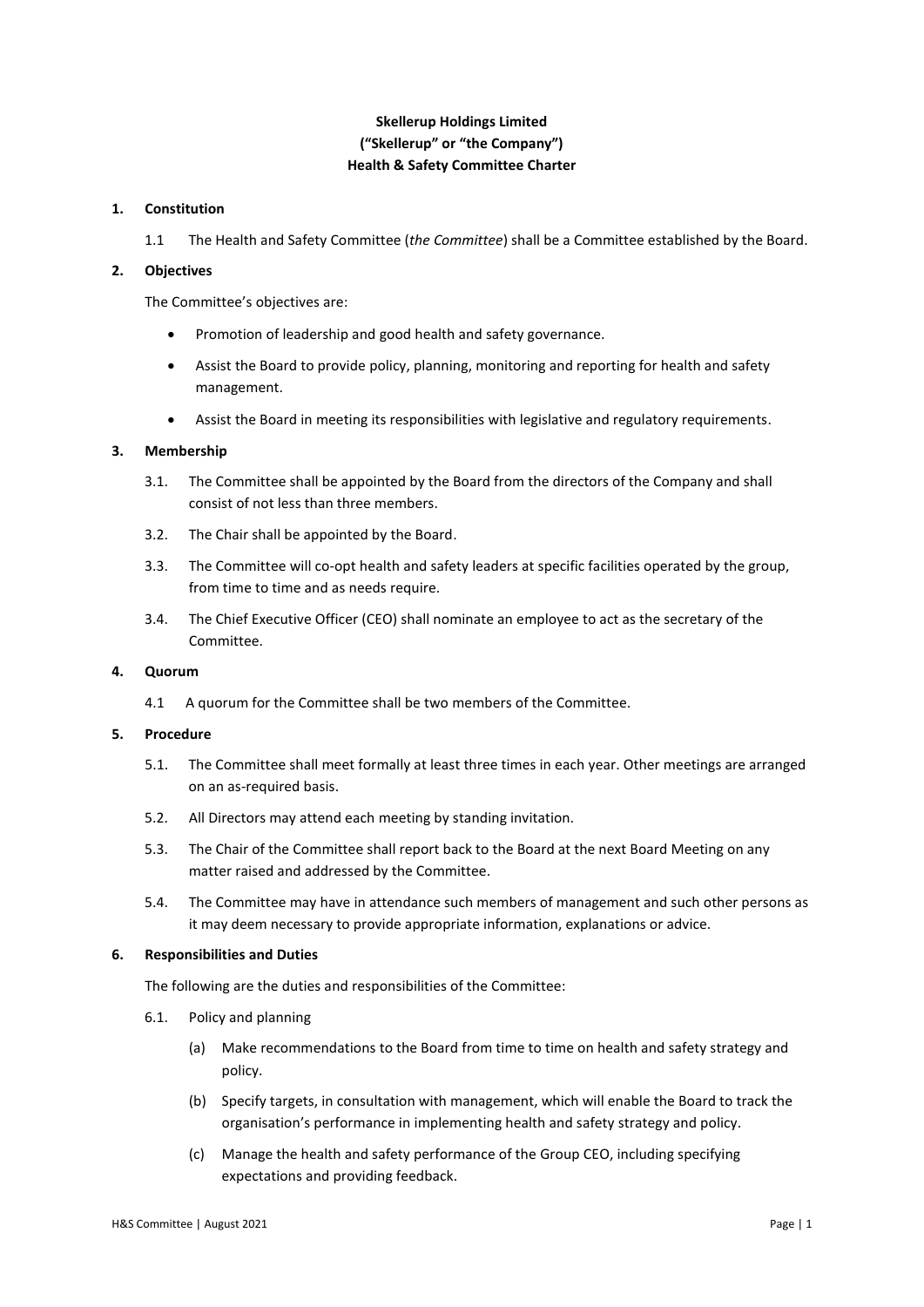# **Skellerup Holdings Limited ("Skellerup" or "the Company") Health & Safety Committee Charter**

## **1. Constitution**

1.1 The Health and Safety Committee (*the Committee*) shall be a Committee established by the Board.

## **2. Objectives**

The Committee's objectives are:

- Promotion of leadership and good health and safety governance.
- Assist the Board to provide policy, planning, monitoring and reporting for health and safety management.
- Assist the Board in meeting its responsibilities with legislative and regulatory requirements.

# **3. Membership**

- 3.1. The Committee shall be appointed by the Board from the directors of the Company and shall consist of not less than three members.
- 3.2. The Chair shall be appointed by the Board.
- 3.3. The Committee will co-opt health and safety leaders at specific facilities operated by the group, from time to time and as needs require.
- 3.4. The Chief Executive Officer (CEO) shall nominate an employee to act as the secretary of the Committee.

# **4. Quorum**

4.1 A quorum for the Committee shall be two members of the Committee.

## **5. Procedure**

- 5.1. The Committee shall meet formally at least three times in each year. Other meetings are arranged on an as-required basis.
- 5.2. All Directors may attend each meeting by standing invitation.
- 5.3. The Chair of the Committee shall report back to the Board at the next Board Meeting on any matter raised and addressed by the Committee.
- 5.4. The Committee may have in attendance such members of management and such other persons as it may deem necessary to provide appropriate information, explanations or advice.

### **6. Responsibilities and Duties**

The following are the duties and responsibilities of the Committee:

- 6.1. Policy and planning
	- (a) Make recommendations to the Board from time to time on health and safety strategy and policy.
	- (b) Specify targets, in consultation with management, which will enable the Board to track the organisation's performance in implementing health and safety strategy and policy.
	- (c) Manage the health and safety performance of the Group CEO, including specifying expectations and providing feedback.